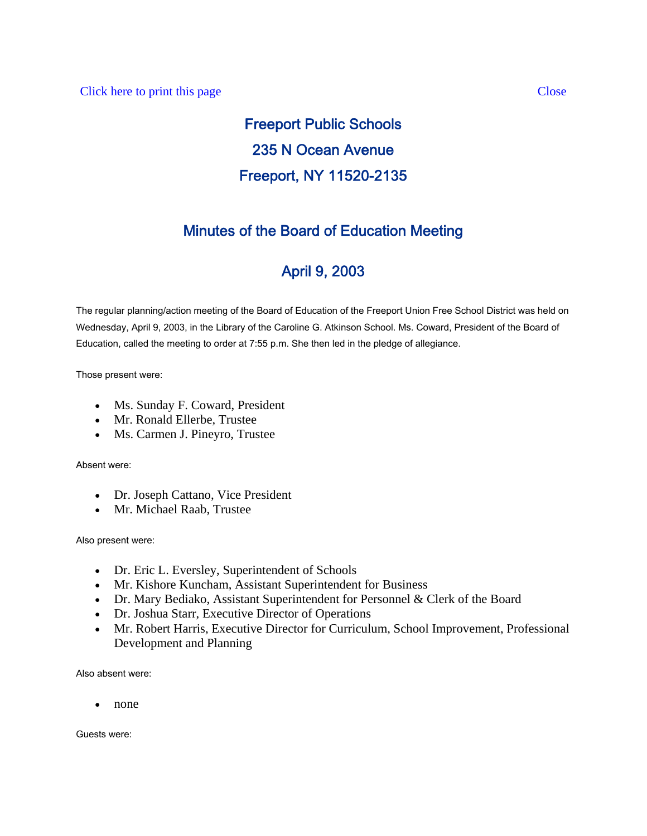# Freeport Public Schools 235 N Ocean Avenue Freeport, NY 11520-2135

# Minutes of the Board of Education Meeting

# April 9, 2003

The regular planning/action meeting of the Board of Education of the Freeport Union Free School District was held on Wednesday, April 9, 2003, in the Library of the Caroline G. Atkinson School. Ms. Coward, President of the Board of Education, called the meeting to order at 7:55 p.m. She then led in the pledge of allegiance.

Those present were:

- Ms. Sunday F. Coward, President
- Mr. Ronald Ellerbe, Trustee
- Ms. Carmen J. Pineyro, Trustee

Absent were:

- Dr. Joseph Cattano, Vice President
- Mr. Michael Raab, Trustee

Also present were:

- Dr. Eric L. Eversley, Superintendent of Schools
- Mr. Kishore Kuncham, Assistant Superintendent for Business
- Dr. Mary Bediako, Assistant Superintendent for Personnel & Clerk of the Board
- Dr. Joshua Starr, Executive Director of Operations
- Mr. Robert Harris, Executive Director for Curriculum, School Improvement, Professional Development and Planning

Also absent were:

• none

Guests were: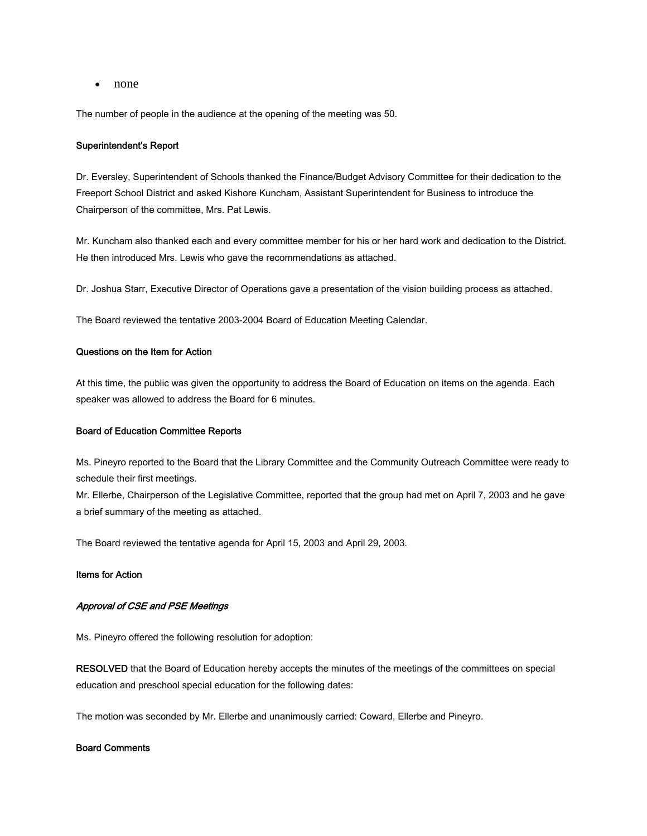• none

The number of people in the audience at the opening of the meeting was 50.

### Superintendent's Report

Dr. Eversley, Superintendent of Schools thanked the Finance/Budget Advisory Committee for their dedication to the Freeport School District and asked Kishore Kuncham, Assistant Superintendent for Business to introduce the Chairperson of the committee, Mrs. Pat Lewis.

Mr. Kuncham also thanked each and every committee member for his or her hard work and dedication to the District. He then introduced Mrs. Lewis who gave the recommendations as attached.

Dr. Joshua Starr, Executive Director of Operations gave a presentation of the vision building process as attached.

The Board reviewed the tentative 2003-2004 Board of Education Meeting Calendar.

#### Questions on the Item for Action

At this time, the public was given the opportunity to address the Board of Education on items on the agenda. Each speaker was allowed to address the Board for 6 minutes.

#### Board of Education Committee Reports

Ms. Pineyro reported to the Board that the Library Committee and the Community Outreach Committee were ready to schedule their first meetings.

Mr. Ellerbe, Chairperson of the Legislative Committee, reported that the group had met on April 7, 2003 and he gave a brief summary of the meeting as attached.

The Board reviewed the tentative agenda for April 15, 2003 and April 29, 2003.

## Items for Action

# Approval of CSE and PSE Meetings

Ms. Pineyro offered the following resolution for adoption:

RESOLVED that the Board of Education hereby accepts the minutes of the meetings of the committees on special education and preschool special education for the following dates:

The motion was seconded by Mr. Ellerbe and unanimously carried: Coward, Ellerbe and Pineyro.

# Board Comments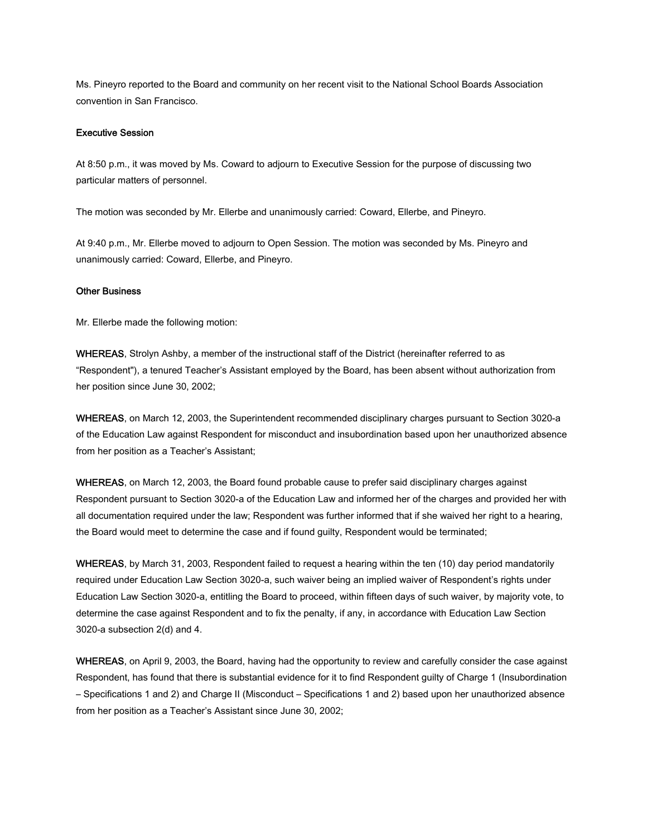Ms. Pineyro reported to the Board and community on her recent visit to the National School Boards Association convention in San Francisco.

#### Executive Session

At 8:50 p.m., it was moved by Ms. Coward to adjourn to Executive Session for the purpose of discussing two particular matters of personnel.

The motion was seconded by Mr. Ellerbe and unanimously carried: Coward, Ellerbe, and Pineyro.

At 9:40 p.m., Mr. Ellerbe moved to adjourn to Open Session. The motion was seconded by Ms. Pineyro and unanimously carried: Coward, Ellerbe, and Pineyro.

# Other Business

Mr. Ellerbe made the following motion:

WHEREAS, Strolyn Ashby, a member of the instructional staff of the District (hereinafter referred to as "Respondent"), a tenured Teacher's Assistant employed by the Board, has been absent without authorization from her position since June 30, 2002;

WHEREAS, on March 12, 2003, the Superintendent recommended disciplinary charges pursuant to Section 3020-a of the Education Law against Respondent for misconduct and insubordination based upon her unauthorized absence from her position as a Teacher's Assistant;

WHEREAS, on March 12, 2003, the Board found probable cause to prefer said disciplinary charges against Respondent pursuant to Section 3020-a of the Education Law and informed her of the charges and provided her with all documentation required under the law; Respondent was further informed that if she waived her right to a hearing, the Board would meet to determine the case and if found guilty, Respondent would be terminated;

WHEREAS, by March 31, 2003, Respondent failed to request a hearing within the ten (10) day period mandatorily required under Education Law Section 3020-a, such waiver being an implied waiver of Respondent's rights under Education Law Section 3020-a, entitling the Board to proceed, within fifteen days of such waiver, by majority vote, to determine the case against Respondent and to fix the penalty, if any, in accordance with Education Law Section 3020-a subsection 2(d) and 4.

WHEREAS, on April 9, 2003, the Board, having had the opportunity to review and carefully consider the case against Respondent, has found that there is substantial evidence for it to find Respondent guilty of Charge 1 (Insubordination – Specifications 1 and 2) and Charge II (Misconduct – Specifications 1 and 2) based upon her unauthorized absence from her position as a Teacher's Assistant since June 30, 2002;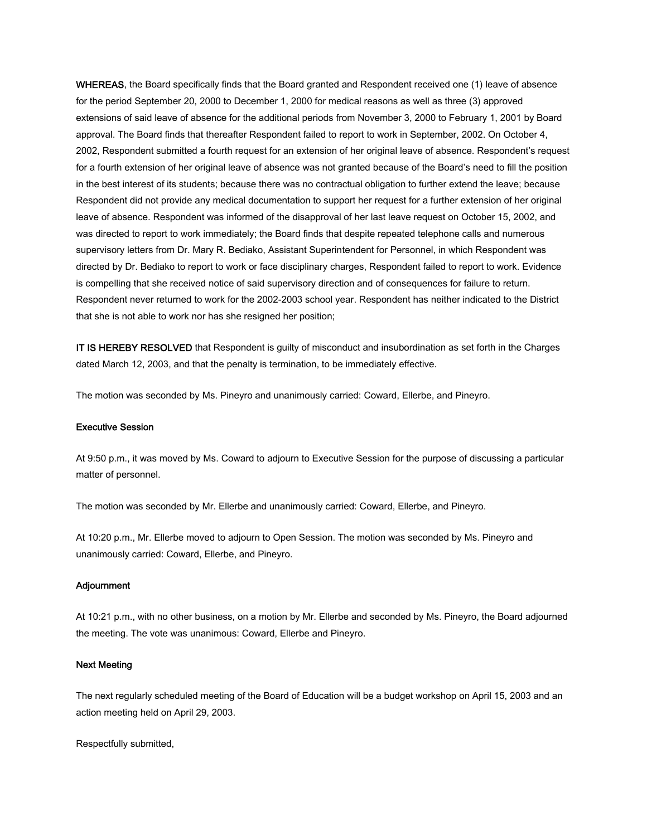WHEREAS, the Board specifically finds that the Board granted and Respondent received one (1) leave of absence for the period September 20, 2000 to December 1, 2000 for medical reasons as well as three (3) approved extensions of said leave of absence for the additional periods from November 3, 2000 to February 1, 2001 by Board approval. The Board finds that thereafter Respondent failed to report to work in September, 2002. On October 4, 2002, Respondent submitted a fourth request for an extension of her original leave of absence. Respondent's request for a fourth extension of her original leave of absence was not granted because of the Board's need to fill the position in the best interest of its students; because there was no contractual obligation to further extend the leave; because Respondent did not provide any medical documentation to support her request for a further extension of her original leave of absence. Respondent was informed of the disapproval of her last leave request on October 15, 2002, and was directed to report to work immediately; the Board finds that despite repeated telephone calls and numerous supervisory letters from Dr. Mary R. Bediako, Assistant Superintendent for Personnel, in which Respondent was directed by Dr. Bediako to report to work or face disciplinary charges, Respondent failed to report to work. Evidence is compelling that she received notice of said supervisory direction and of consequences for failure to return. Respondent never returned to work for the 2002-2003 school year. Respondent has neither indicated to the District that she is not able to work nor has she resigned her position;

IT IS HEREBY RESOLVED that Respondent is guilty of misconduct and insubordination as set forth in the Charges dated March 12, 2003, and that the penalty is termination, to be immediately effective.

The motion was seconded by Ms. Pineyro and unanimously carried: Coward, Ellerbe, and Pineyro.

#### Executive Session

At 9:50 p.m., it was moved by Ms. Coward to adjourn to Executive Session for the purpose of discussing a particular matter of personnel.

The motion was seconded by Mr. Ellerbe and unanimously carried: Coward, Ellerbe, and Pineyro.

At 10:20 p.m., Mr. Ellerbe moved to adjourn to Open Session. The motion was seconded by Ms. Pineyro and unanimously carried: Coward, Ellerbe, and Pineyro.

### Adjournment

At 10:21 p.m., with no other business, on a motion by Mr. Ellerbe and seconded by Ms. Pineyro, the Board adjourned the meeting. The vote was unanimous: Coward, Ellerbe and Pineyro.

#### Next Meeting

The next regularly scheduled meeting of the Board of Education will be a budget workshop on April 15, 2003 and an action meeting held on April 29, 2003.

Respectfully submitted,